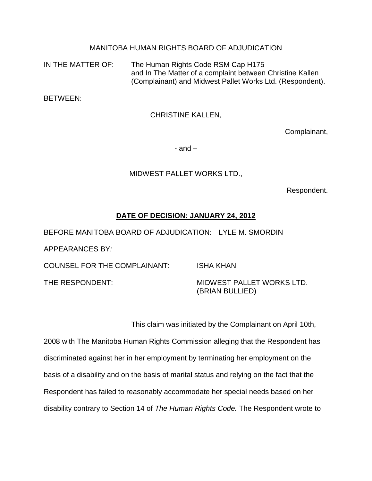## MANITOBA HUMAN RIGHTS BOARD OF ADJUDICATION

IN THE MATTER OF: The Human Rights Code RSM Cap H175 and In The Matter of a complaint between Christine Kallen (Complainant) and Midwest Pallet Works Ltd. (Respondent).

BETWEEN:

CHRISTINE KALLEN,

Complainant,

 $-$  and  $-$ 

## MIDWEST PALLET WORKS LTD.,

Respondent.

## **DATE OF DECISION: JANUARY 24, 2012**

BEFORE MANITOBA BOARD OF ADJUDICATION: LYLE M. SMORDIN

APPEARANCES BY*:* 

COUNSEL FOR THE COMPLAINANT: ISHA KHAN

THE RESPONDENT: THE RESPONDENT:

(BRIAN BULLIED)

This claim was initiated by the Complainant on April 10th,

2008 with The Manitoba Human Rights Commission alleging that the Respondent has discriminated against her in her employment by terminating her employment on the basis of a disability and on the basis of marital status and relying on the fact that the Respondent has failed to reasonably accommodate her special needs based on her disability contrary to Section 14 of *The Human Rights Code.* The Respondent wrote to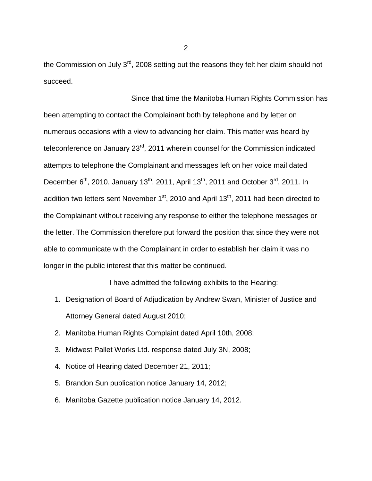the Commission on July 3<sup>rd</sup>, 2008 setting out the reasons they felt her claim should not succeed.

Since that time the Manitoba Human Rights Commission has been attempting to contact the Complainant both by telephone and by letter on numerous occasions with a view to advancing her claim. This matter was heard by teleconference on January 23<sup>rd</sup>, 2011 wherein counsel for the Commission indicated attempts to telephone the Complainant and messages left on her voice mail dated December 6<sup>th</sup>, 2010, January 13<sup>th</sup>, 2011, April 13<sup>th</sup>, 2011 and October 3<sup>rd</sup>, 2011. In addition two letters sent November 1<sup>st</sup>, 2010 and April 13<sup>th</sup>, 2011 had been directed to the Complainant without receiving any response to either the telephone messages or the letter. The Commission therefore put forward the position that since they were not able to communicate with the Complainant in order to establish her claim it was no longer in the public interest that this matter be continued.

I have admitted the following exhibits to the Hearing:

- 1. Designation of Board of Adjudication by Andrew Swan, Minister of Justice and Attorney General dated August 2010;
- 2. Manitoba Human Rights Complaint dated April 10th, 2008;
- 3. Midwest Pallet Works Ltd. response dated July 3N, 2008;
- 4. Notice of Hearing dated December 21, 2011;
- 5. Brandon Sun publication notice January 14, 2012;
- 6. Manitoba Gazette publication notice January 14, 2012.